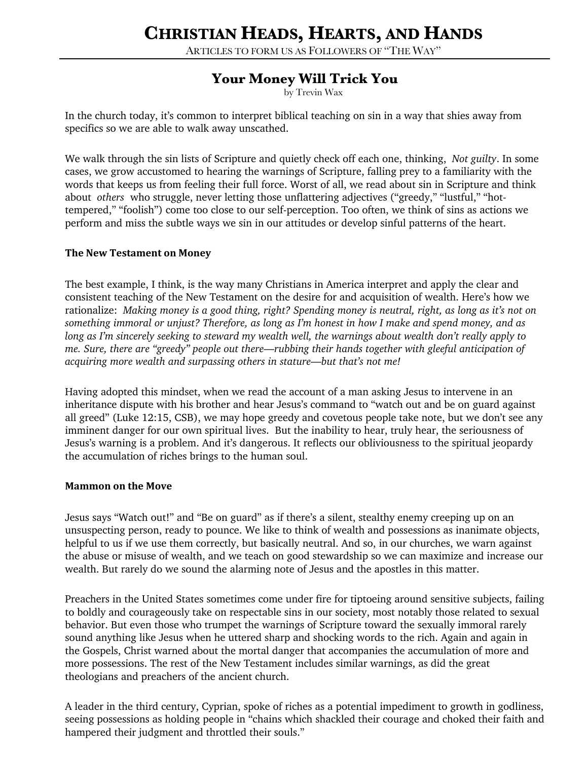# **CHRISTIAN HEADS, HEARTS, AND HANDS**

ARTICLES TO FORM US AS FOLLOWERS OF "THE WAY"

# **Your Money Will Trick You**

by Trevin Wax

In the church today, it's common to interpret biblical teaching on sin in a way that shies away from specifics so we are able to walk away unscathed.

We walk through the sin lists of Scripture and quietly check off each one, thinking, *Not guilty*. In some cases, we grow accustomed to hearing the warnings of Scripture, falling prey to a familiarity with the words that keeps us from feeling their full force. Worst of all, we read about sin in Scripture and think about *others* who struggle, never letting those unflattering adjectives ("greedy," "lustful," "hottempered," "foolish") come too close to our self-perception. Too often, we think of sins as actions we perform and miss the subtle ways we sin in our attitudes or develop sinful patterns of the heart.

# **The New Testament on Money**

The best example, I think, is the way many Christians in America interpret and apply the clear and consistent teaching of the New Testament on the desire for and acquisition of wealth. Here's how we rationalize: *Making money is a good thing, right? Spending money is neutral, right, as long as it's not on something immoral or unjust? Therefore, as long as I'm honest in how I make and spend money, and as long as I'm sincerely seeking to steward my wealth well, the warnings about wealth don't really apply to me. Sure, there are "greedy" people out there—rubbing their hands together with gleeful anticipation of acquiring more wealth and surpassing others in stature—but that's not me!*

Having adopted this mindset, when we read the account of a man asking Jesus to intervene in an inheritance dispute with his brother and hear Jesus's command to "watch out and be on guard against all greed" (Luke 12:15, CSB), we may hope greedy and covetous people take note, but we don't see any imminent danger for our own spiritual lives. But the inability to hear, truly hear, the seriousness of Jesus's warning is a problem. And it's dangerous. It reflects our obliviousness to the spiritual jeopardy the accumulation of riches brings to the human soul.

#### **Mammon on the Move**

Jesus says "Watch out!" and "Be on guard" as if there's a silent, stealthy enemy creeping up on an unsuspecting person, ready to pounce. We like to think of wealth and possessions as inanimate objects, helpful to us if we use them correctly, but basically neutral. And so, in our churches, we warn against the abuse or misuse of wealth, and we teach on good stewardship so we can maximize and increase our wealth. But rarely do we sound the alarming note of Jesus and the apostles in this matter.

Preachers in the United States sometimes come under fire for tiptoeing around sensitive subjects, failing to boldly and courageously take on respectable sins in our society, most notably those related to sexual behavior. But even those who trumpet the warnings of Scripture toward the sexually immoral rarely sound anything like Jesus when he uttered sharp and shocking words to the rich. Again and again in the Gospels, Christ warned about the mortal danger that accompanies the accumulation of more and more possessions. The rest of the New Testament includes similar warnings, as did the great theologians and preachers of the ancient church.

A leader in the third century, Cyprian, spoke of riches as a potential impediment to growth in godliness, seeing possessions as holding people in "chains which shackled their courage and choked their faith and hampered their judgment and throttled their souls."